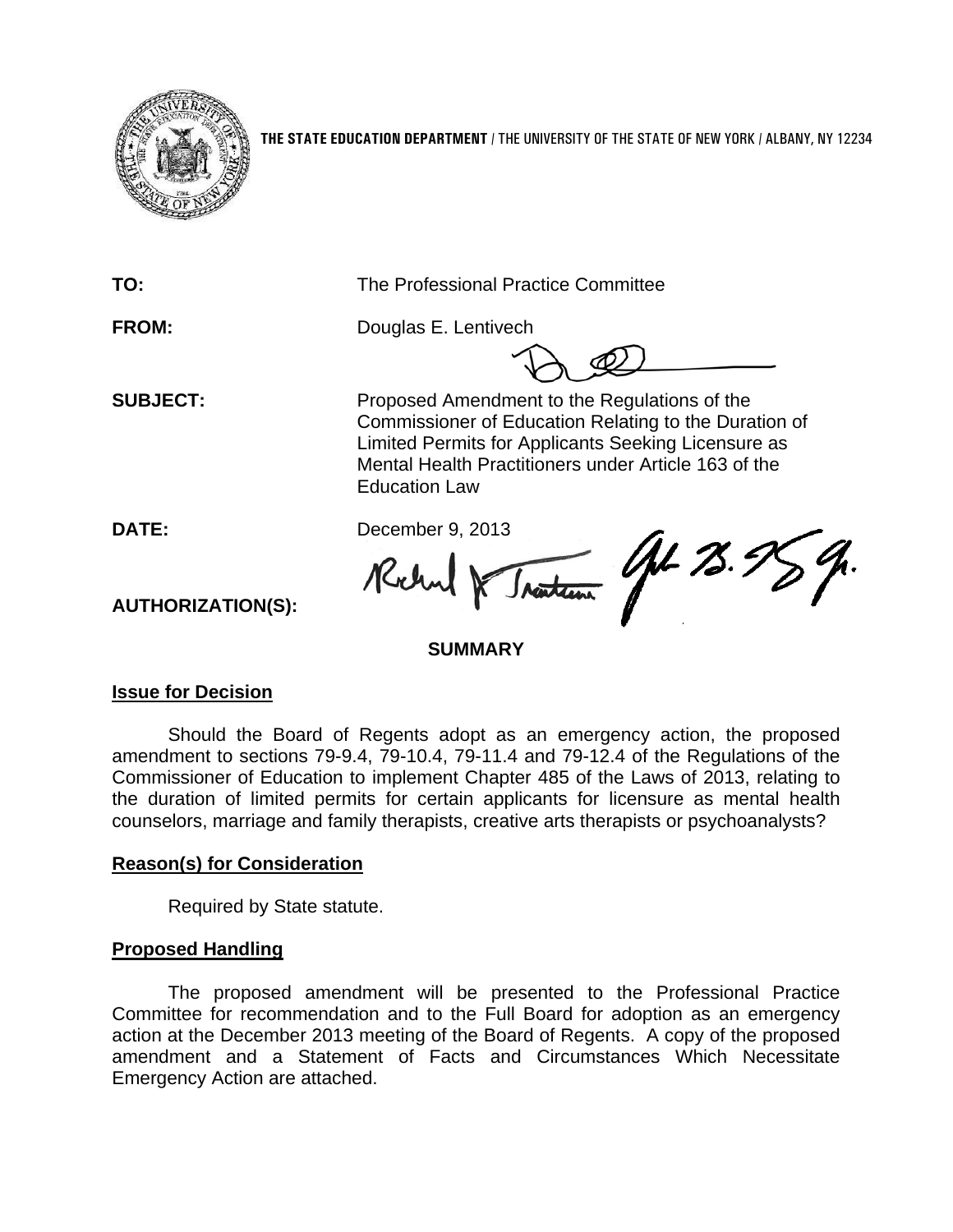

**THE STATE EDUCATION DEPARTMENT** / THE UNIVERSITY OF THE STATE OF NEW YORK / ALBANY, NY 12234

| TO:                      | The Professional Practice Committee                                                                                                                                                                                                          |
|--------------------------|----------------------------------------------------------------------------------------------------------------------------------------------------------------------------------------------------------------------------------------------|
| <b>FROM:</b>             | Douglas E. Lentivech                                                                                                                                                                                                                         |
| <b>SUBJECT:</b>          | Proposed Amendment to the Regulations of the<br>Commissioner of Education Relating to the Duration of<br>Limited Permits for Applicants Seeking Licensure as<br>Mental Health Practitioners under Article 163 of the<br><b>Education Law</b> |
| <b>DATE:</b>             | December 9, 2013                                                                                                                                                                                                                             |
| <b>AUTHORIZATION(S):</b> | H3.7<br><b>SUMMARY</b>                                                                                                                                                                                                                       |

# **Issue for Decision**

Should the Board of Regents adopt as an emergency action, the proposed amendment to sections 79-9.4, 79-10.4, 79-11.4 and 79-12.4 of the Regulations of the Commissioner of Education to implement Chapter 485 of the Laws of 2013, relating to the duration of limited permits for certain applicants for licensure as mental health counselors, marriage and family therapists, creative arts therapists or psychoanalysts?

# **Reason(s) for Consideration**

Required by State statute.

# **Proposed Handling**

The proposed amendment will be presented to the Professional Practice Committee for recommendation and to the Full Board for adoption as an emergency action at the December 2013 meeting of the Board of Regents. A copy of the proposed amendment and a Statement of Facts and Circumstances Which Necessitate Emergency Action are attached.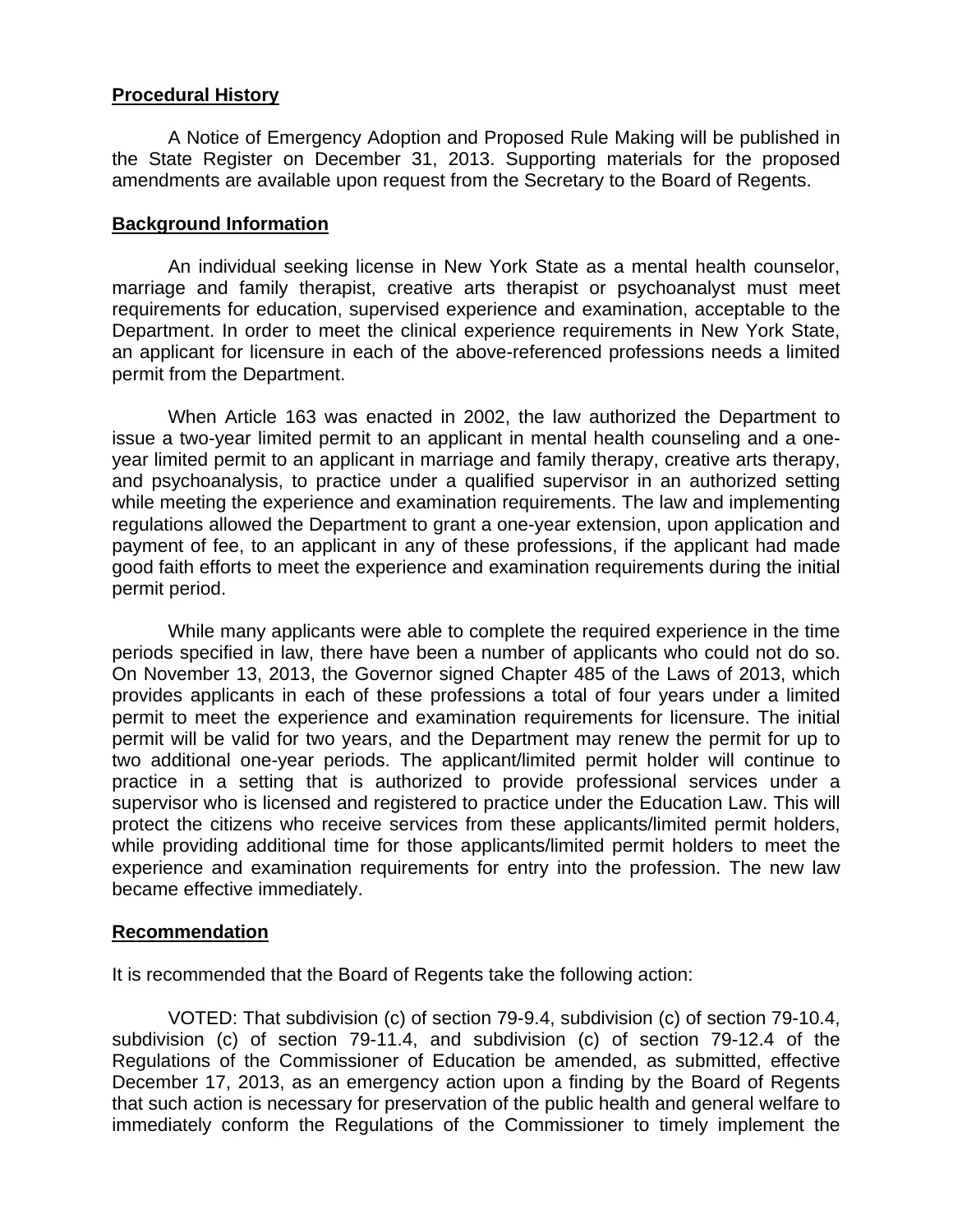## **Procedural History**

A Notice of Emergency Adoption and Proposed Rule Making will be published in the State Register on December 31, 2013. Supporting materials for the proposed amendments are available upon request from the Secretary to the Board of Regents.

#### **Background Information**

An individual seeking license in New York State as a mental health counselor, marriage and family therapist, creative arts therapist or psychoanalyst must meet requirements for education, supervised experience and examination, acceptable to the Department. In order to meet the clinical experience requirements in New York State, an applicant for licensure in each of the above-referenced professions needs a limited permit from the Department.

When Article 163 was enacted in 2002, the law authorized the Department to issue a two-year limited permit to an applicant in mental health counseling and a oneyear limited permit to an applicant in marriage and family therapy, creative arts therapy, and psychoanalysis, to practice under a qualified supervisor in an authorized setting while meeting the experience and examination requirements. The law and implementing regulations allowed the Department to grant a one-year extension, upon application and payment of fee, to an applicant in any of these professions, if the applicant had made good faith efforts to meet the experience and examination requirements during the initial permit period.

While many applicants were able to complete the required experience in the time periods specified in law, there have been a number of applicants who could not do so. On November 13, 2013, the Governor signed Chapter 485 of the Laws of 2013, which provides applicants in each of these professions a total of four years under a limited permit to meet the experience and examination requirements for licensure. The initial permit will be valid for two years, and the Department may renew the permit for up to two additional one-year periods. The applicant/limited permit holder will continue to practice in a setting that is authorized to provide professional services under a supervisor who is licensed and registered to practice under the Education Law. This will protect the citizens who receive services from these applicants/limited permit holders, while providing additional time for those applicants/limited permit holders to meet the experience and examination requirements for entry into the profession. The new law became effective immediately.

# **Recommendation**

It is recommended that the Board of Regents take the following action:

VOTED: That subdivision (c) of section 79-9.4, subdivision (c) of section 79-10.4, subdivision (c) of section 79-11.4, and subdivision (c) of section 79-12.4 of the Regulations of the Commissioner of Education be amended, as submitted, effective December 17, 2013, as an emergency action upon a finding by the Board of Regents that such action is necessary for preservation of the public health and general welfare to immediately conform the Regulations of the Commissioner to timely implement the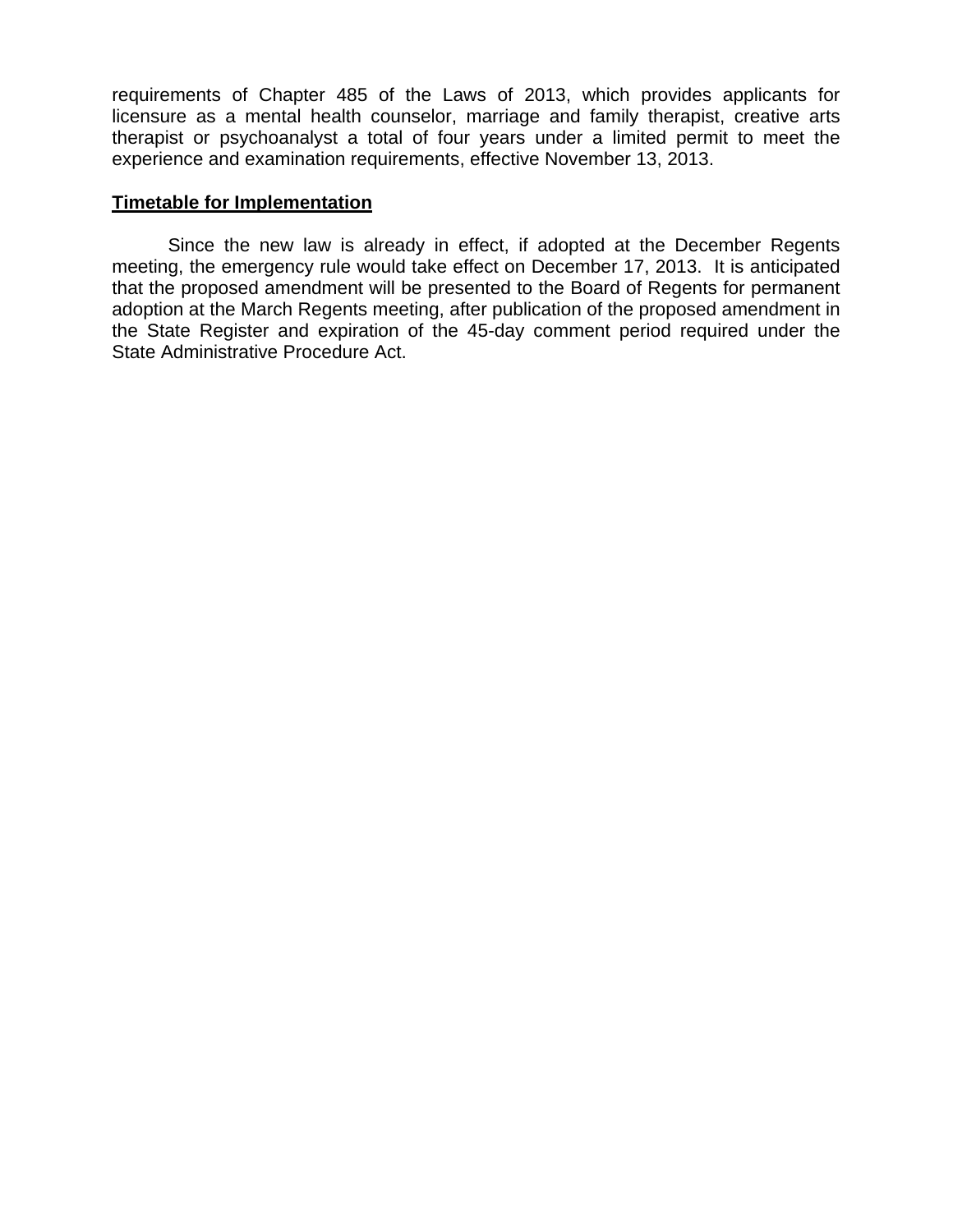requirements of Chapter 485 of the Laws of 2013, which provides applicants for licensure as a mental health counselor, marriage and family therapist, creative arts therapist or psychoanalyst a total of four years under a limited permit to meet the experience and examination requirements, effective November 13, 2013.

## **Timetable for Implementation**

Since the new law is already in effect, if adopted at the December Regents meeting, the emergency rule would take effect on December 17, 2013. It is anticipated that the proposed amendment will be presented to the Board of Regents for permanent adoption at the March Regents meeting, after publication of the proposed amendment in the State Register and expiration of the 45-day comment period required under the State Administrative Procedure Act.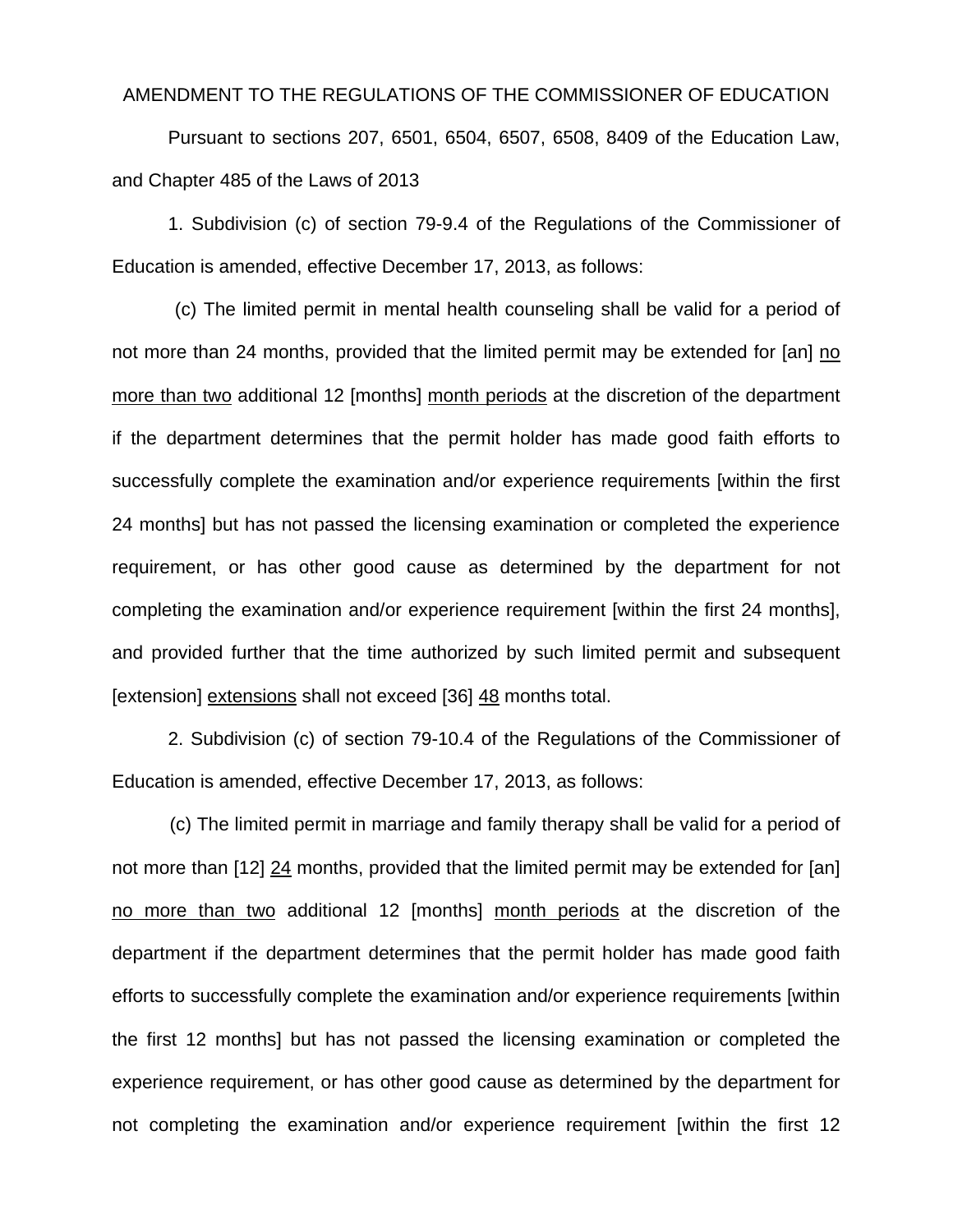#### AMENDMENT TO THE REGULATIONS OF THE COMMISSIONER OF EDUCATION

 Pursuant to sections 207, 6501, 6504, 6507, 6508, 8409 of the Education Law, and Chapter 485 of the Laws of 2013

1. Subdivision (c) of section 79-9.4 of the Regulations of the Commissioner of Education is amended, effective December 17, 2013, as follows:

 (c) The limited permit in mental health counseling shall be valid for a period of not more than 24 months, provided that the limited permit may be extended for [an] no more than two additional 12 [months] month periods at the discretion of the department if the department determines that the permit holder has made good faith efforts to successfully complete the examination and/or experience requirements [within the first 24 months] but has not passed the licensing examination or completed the experience requirement, or has other good cause as determined by the department for not completing the examination and/or experience requirement [within the first 24 months], and provided further that the time authorized by such limited permit and subsequent [extension] extensions shall not exceed [36] 48 months total.

2. Subdivision (c) of section 79-10.4 of the Regulations of the Commissioner of Education is amended, effective December 17, 2013, as follows:

(c) The limited permit in marriage and family therapy shall be valid for a period of not more than [12] 24 months, provided that the limited permit may be extended for [an] no more than two additional 12 [months] month periods at the discretion of the department if the department determines that the permit holder has made good faith efforts to successfully complete the examination and/or experience requirements [within the first 12 months] but has not passed the licensing examination or completed the experience requirement, or has other good cause as determined by the department for not completing the examination and/or experience requirement [within the first 12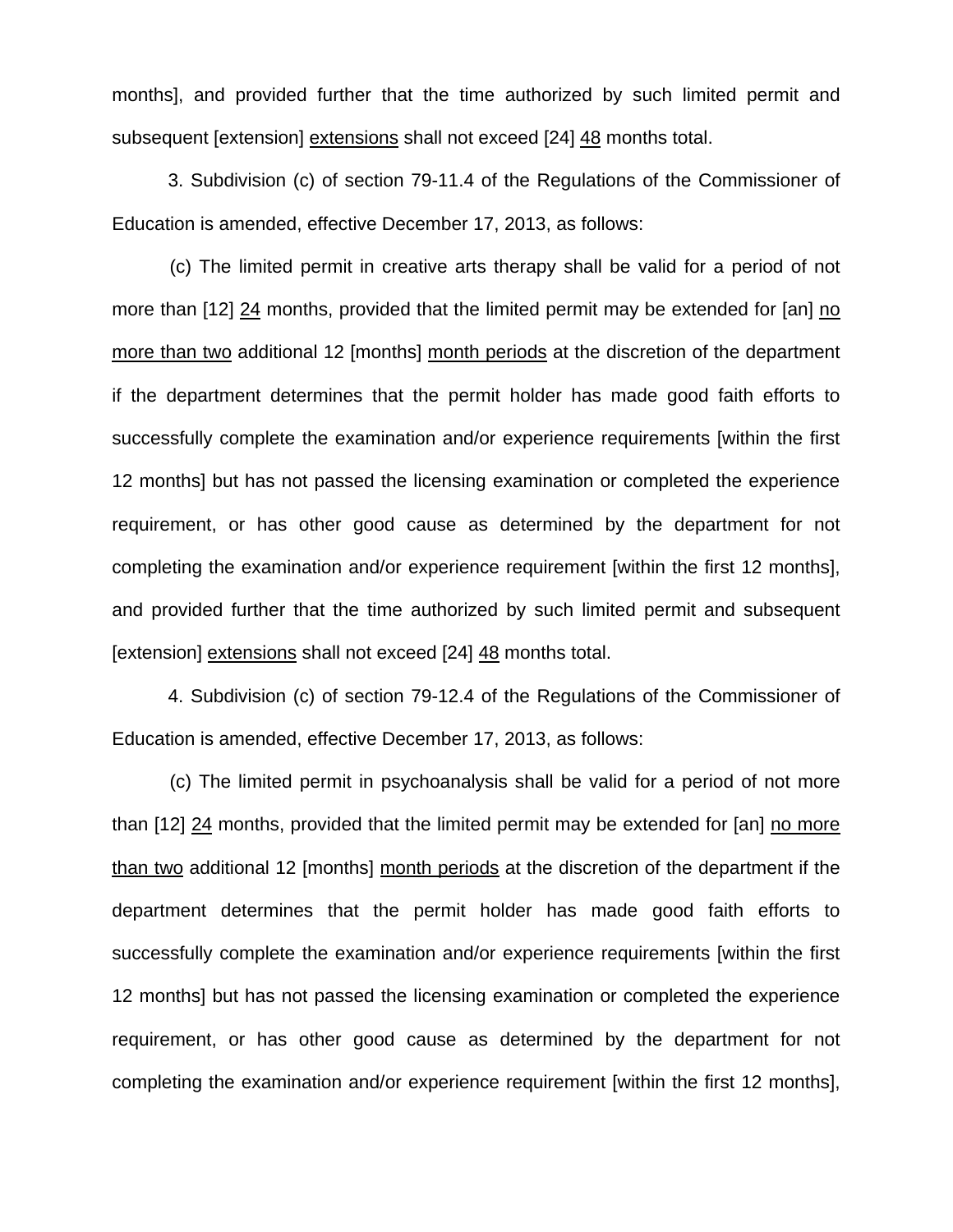months], and provided further that the time authorized by such limited permit and subsequent [extension] extensions shall not exceed [24] 48 months total.

3. Subdivision (c) of section 79-11.4 of the Regulations of the Commissioner of Education is amended, effective December 17, 2013, as follows:

(c) The limited permit in creative arts therapy shall be valid for a period of not more than [12] 24 months, provided that the limited permit may be extended for [an] no more than two additional 12 [months] month periods at the discretion of the department if the department determines that the permit holder has made good faith efforts to successfully complete the examination and/or experience requirements [within the first 12 months] but has not passed the licensing examination or completed the experience requirement, or has other good cause as determined by the department for not completing the examination and/or experience requirement [within the first 12 months], and provided further that the time authorized by such limited permit and subsequent [extension] extensions shall not exceed [24] 48 months total.

4. Subdivision (c) of section 79-12.4 of the Regulations of the Commissioner of Education is amended, effective December 17, 2013, as follows:

(c) The limited permit in psychoanalysis shall be valid for a period of not more than [12] 24 months, provided that the limited permit may be extended for [an] no more than two additional 12 [months] month periods at the discretion of the department if the department determines that the permit holder has made good faith efforts to successfully complete the examination and/or experience requirements [within the first 12 months] but has not passed the licensing examination or completed the experience requirement, or has other good cause as determined by the department for not completing the examination and/or experience requirement [within the first 12 months],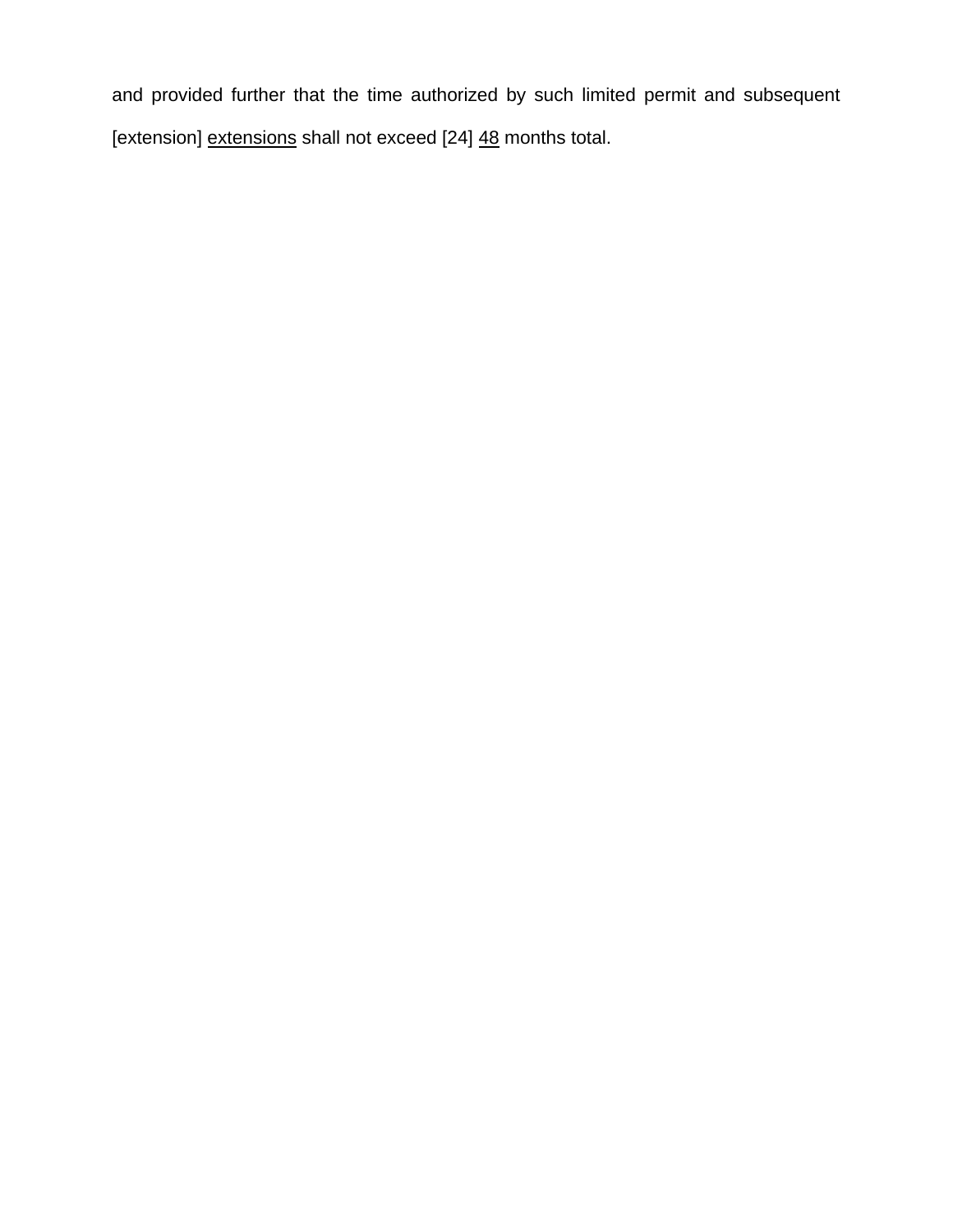and provided further that the time authorized by such limited permit and subsequent [extension] extensions shall not exceed [24] 48 months total.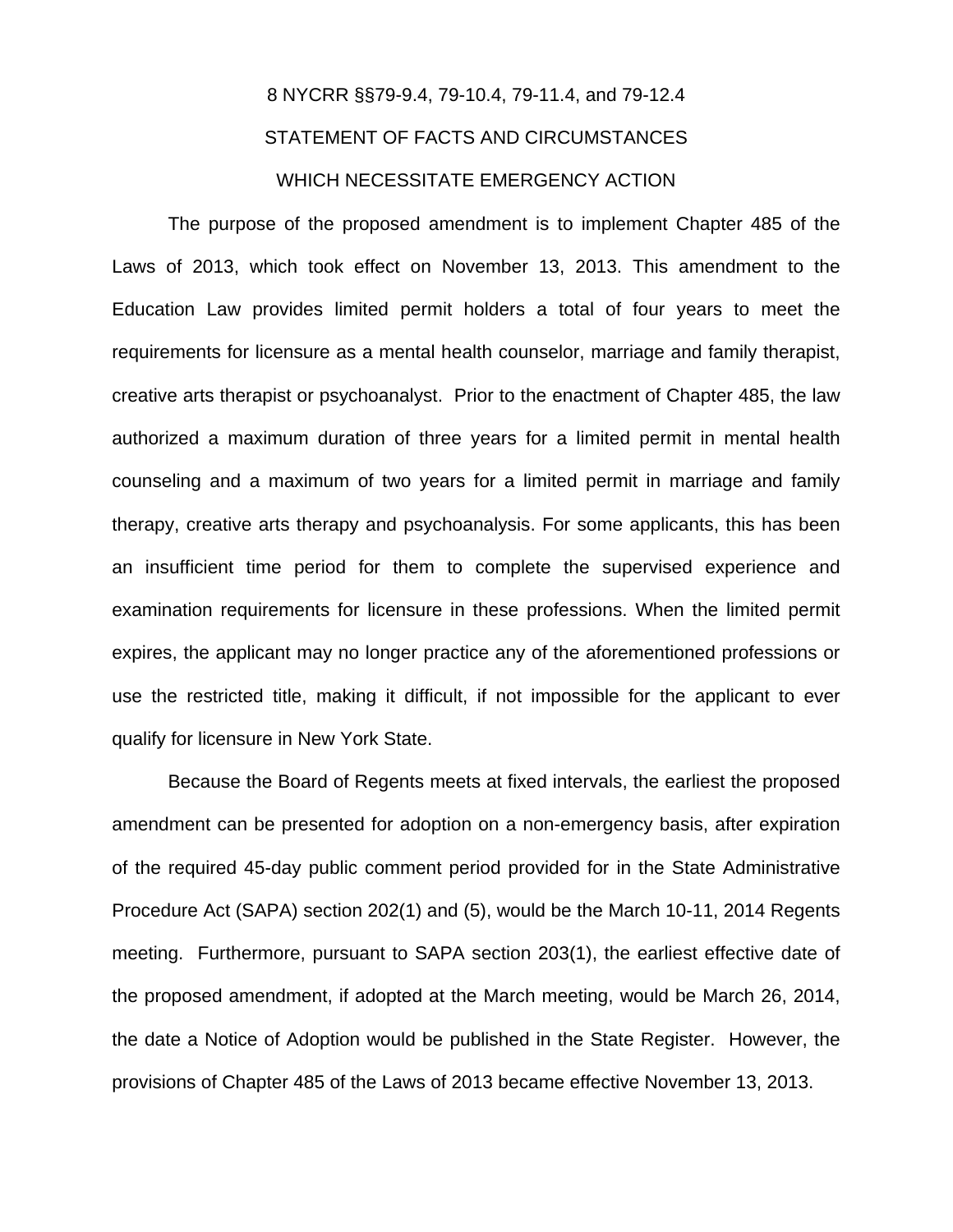# 8 NYCRR §§79-9.4, 79-10.4, 79-11.4, and 79-12.4 STATEMENT OF FACTS AND CIRCUMSTANCES WHICH NECESSITATE EMERGENCY ACTION

The purpose of the proposed amendment is to implement Chapter 485 of the Laws of 2013, which took effect on November 13, 2013. This amendment to the Education Law provides limited permit holders a total of four years to meet the requirements for licensure as a mental health counselor, marriage and family therapist, creative arts therapist or psychoanalyst. Prior to the enactment of Chapter 485, the law authorized a maximum duration of three years for a limited permit in mental health counseling and a maximum of two years for a limited permit in marriage and family therapy, creative arts therapy and psychoanalysis. For some applicants, this has been an insufficient time period for them to complete the supervised experience and examination requirements for licensure in these professions. When the limited permit expires, the applicant may no longer practice any of the aforementioned professions or use the restricted title, making it difficult, if not impossible for the applicant to ever qualify for licensure in New York State.

Because the Board of Regents meets at fixed intervals, the earliest the proposed amendment can be presented for adoption on a non-emergency basis, after expiration of the required 45-day public comment period provided for in the State Administrative Procedure Act (SAPA) section 202(1) and (5), would be the March 10-11, 2014 Regents meeting. Furthermore, pursuant to SAPA section 203(1), the earliest effective date of the proposed amendment, if adopted at the March meeting, would be March 26, 2014, the date a Notice of Adoption would be published in the State Register. However, the provisions of Chapter 485 of the Laws of 2013 became effective November 13, 2013.